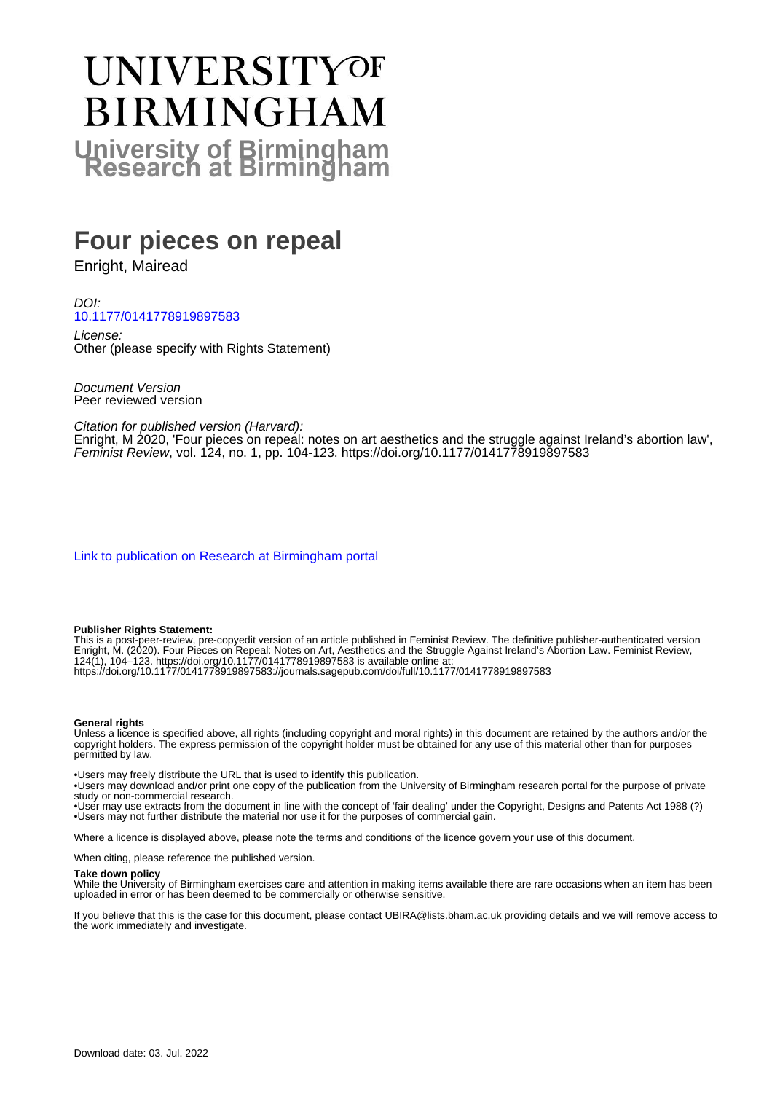# UNIVERSITYOF **BIRMINGHAM University of Birmingham**

# **Four pieces on repeal**

Enright, Mairead

DOI: [10.1177/0141778919897583](https://doi.org/10.1177/0141778919897583)

License: Other (please specify with Rights Statement)

Document Version Peer reviewed version

Citation for published version (Harvard):

Enright, M 2020, 'Four pieces on repeal: notes on art aesthetics and the struggle against Ireland's abortion law', Feminist Review, vol. 124, no. 1, pp. 104-123.<https://doi.org/10.1177/0141778919897583>

[Link to publication on Research at Birmingham portal](https://birmingham.elsevierpure.com/en/publications/671d6193-d707-48f1-b1ed-341a986e70c0)

#### **Publisher Rights Statement:**

This is a post-peer-review, pre-copyedit version of an article published in Feminist Review. The definitive publisher-authenticated version Enright, M. (2020). Four Pieces on Repeal: Notes on Art, Aesthetics and the Struggle Against Ireland's Abortion Law. Feminist Review, 124(1), 104–123. https://doi.org/10.1177/0141778919897583 is available online at: https://doi.org/10.1177/0141778919897583://journals.sagepub.com/doi/full/10.1177/0141778919897583

#### **General rights**

Unless a licence is specified above, all rights (including copyright and moral rights) in this document are retained by the authors and/or the copyright holders. The express permission of the copyright holder must be obtained for any use of this material other than for purposes permitted by law.

• Users may freely distribute the URL that is used to identify this publication.

• Users may download and/or print one copy of the publication from the University of Birmingham research portal for the purpose of private study or non-commercial research.

• User may use extracts from the document in line with the concept of 'fair dealing' under the Copyright, Designs and Patents Act 1988 (?) • Users may not further distribute the material nor use it for the purposes of commercial gain.

Where a licence is displayed above, please note the terms and conditions of the licence govern your use of this document.

When citing, please reference the published version.

#### **Take down policy**

While the University of Birmingham exercises care and attention in making items available there are rare occasions when an item has been uploaded in error or has been deemed to be commercially or otherwise sensitive.

If you believe that this is the case for this document, please contact UBIRA@lists.bham.ac.uk providing details and we will remove access to the work immediately and investigate.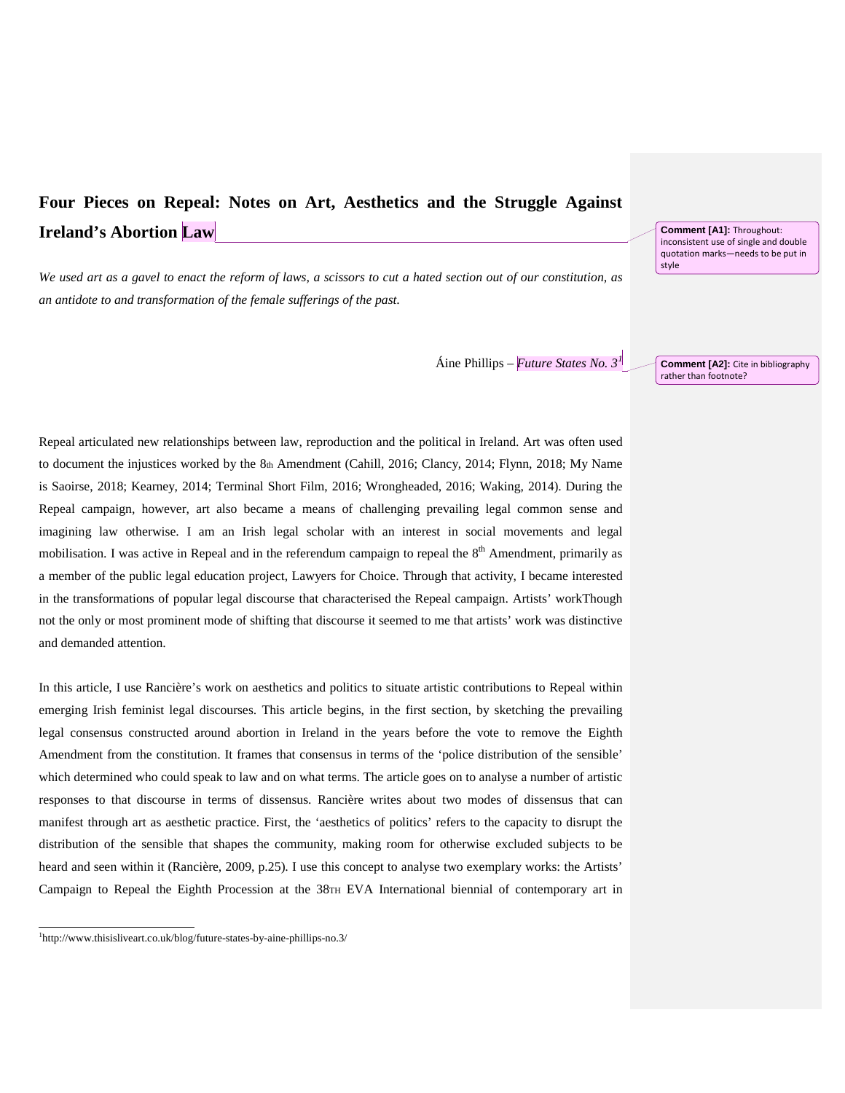## **Four Pieces on Repeal: Notes on Art, Aesthetics and the Struggle Against Ireland's Abortion Law**

*We used art as a gavel to enact the reform of laws, a scissors to cut a hated section out of our constitution, as an antidote to and transformation of the female sufferings of the past*.

Áine Phillips – *Future States No. 3[1](#page-1-0)*

Repeal articulated new relationships between law, reproduction and the political in Ireland. Art was often used to document the injustices worked by the 8th Amendment (Cahill, 2016; Clancy, 2014; Flynn, 2018; My Name is Saoirse, 2018; Kearney, 2014; Terminal Short Film, 2016; Wrongheaded, 2016; Waking, 2014). During the Repeal campaign, however, art also became a means of challenging prevailing legal common sense and imagining law otherwise. I am an Irish legal scholar with an interest in social movements and legal mobilisation. I was active in Repeal and in the referendum campaign to repeal the  $8<sup>th</sup>$  Amendment, primarily as a member of the public legal education project, Lawyers for Choice. Through that activity, I became interested in the transformations of popular legal discourse that characterised the Repeal campaign. Artists' workThough not the only or most prominent mode of shifting that discourse it seemed to me that artists' work was distinctive and demanded attention.

In this article, I use Rancière's work on aesthetics and politics to situate artistic contributions to Repeal within emerging Irish feminist legal discourses. This article begins, in the first section, by sketching the prevailing legal consensus constructed around abortion in Ireland in the years before the vote to remove the Eighth Amendment from the constitution. It frames that consensus in terms of the 'police distribution of the sensible' which determined who could speak to law and on what terms. The article goes on to analyse a number of artistic responses to that discourse in terms of dissensus. Rancière writes about two modes of dissensus that can manifest through art as aesthetic practice. First, the 'aesthetics of politics' refers to the capacity to disrupt the distribution of the sensible that shapes the community, making room for otherwise excluded subjects to be heard and seen within it (Rancière, 2009, p.25). I use this concept to analyse two exemplary works: the Artists' Campaign to Repeal the Eighth Procession at the 38TH EVA International biennial of contemporary art in

l

**Comment [A1]:** Throughout: inconsistent use of single and double quotation marks—needs to be put in style

**Comment [A2]:** Cite in bibliography rather than footnote?

<span id="page-1-0"></span><sup>1</sup> http://www.thisisliveart.co.uk/blog/future-states-by-aine-phillips-no.3/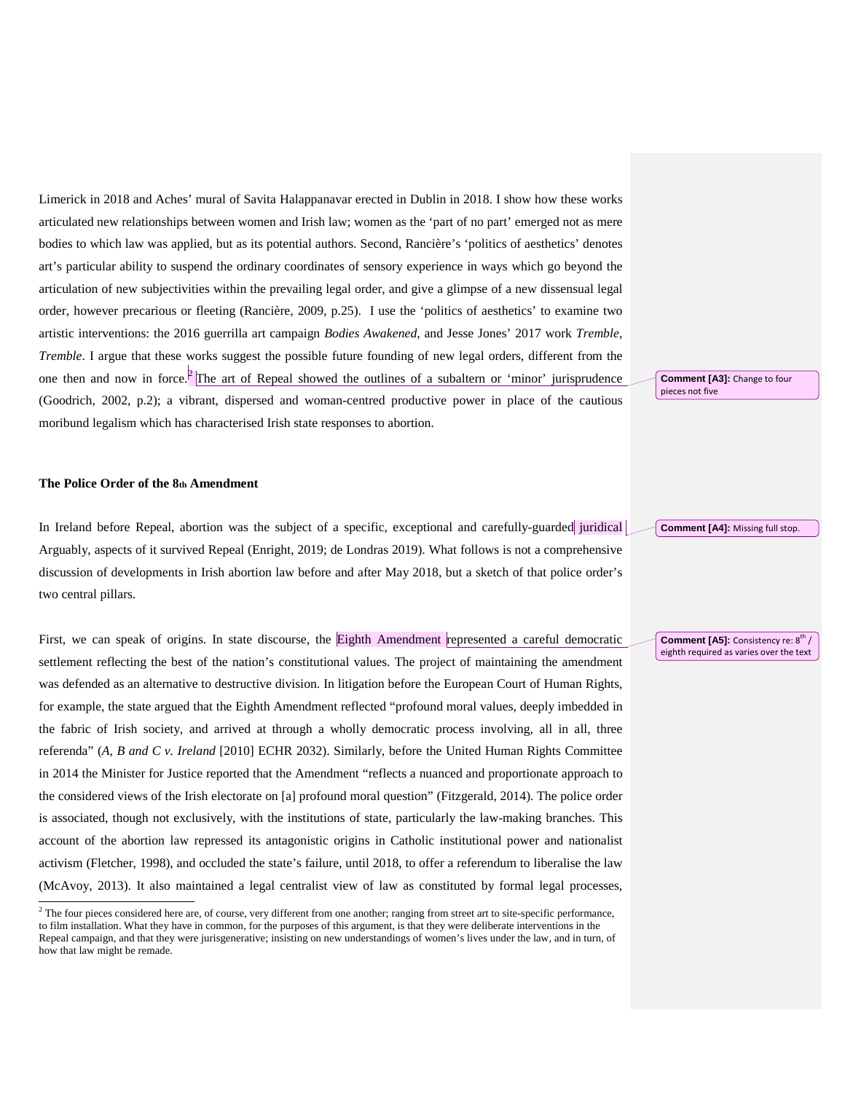Limerick in 2018 and Aches' mural of Savita Halappanavar erected in Dublin in 2018. I show how these works articulated new relationships between women and Irish law; women as the 'part of no part' emerged not as mere bodies to which law was applied, but as its potential authors. Second, Rancière's 'politics of aesthetics' denotes art's particular ability to suspend the ordinary coordinates of sensory experience in ways which go beyond the articulation of new subjectivities within the prevailing legal order, and give a glimpse of a new dissensual legal order, however precarious or fleeting (Rancière, 2009, p.25). I use the 'politics of aesthetics' to examine two artistic interventions: the 2016 guerrilla art campaign *Bodies Awakened*, and Jesse Jones' 2017 work *Tremble, Tremble*. I argue that these works suggest the possible future founding of new legal orders, different from the one then and now in force.<sup>[[2](#page-2-0)</sup>] The art of Repeal showed the outlines of a subaltern or 'minor' jurisprudence (Goodrich, 2002, p.2); a vibrant, dispersed and woman-centred productive power in place of the cautious moribund legalism which has characterised Irish state responses to abortion.

#### **The Police Order of the 8th Amendment**

In Ireland before Repeal, abortion was the subject of a specific, exceptional and carefully-guarded juridical Arguably, aspects of it survived Repeal (Enright, 2019; de Londras 2019). What follows is not a comprehensive discussion of developments in Irish abortion law before and after May 2018, but a sketch of that police order's two central pillars.

First, we can speak of origins. In state discourse, the Eighth Amendment represented a careful democratic settlement reflecting the best of the nation's constitutional values. The project of maintaining the amendment was defended as an alternative to destructive division. In litigation before the European Court of Human Rights, for example, the state argued that the Eighth Amendment reflected "profound moral values, deeply imbedded in the fabric of Irish society, and arrived at through a wholly democratic process involving, all in all, three referenda" (*A, B and C v. Ireland* [2010] ECHR 2032). Similarly, before the United Human Rights Committee in 2014 the Minister for Justice reported that the Amendment "reflects a nuanced and proportionate approach to the considered views of the Irish electorate on [a] profound moral question" (Fitzgerald, 2014). The police order is associated, though not exclusively, with the institutions of state, particularly the law-making branches. This account of the abortion law repressed its antagonistic origins in Catholic institutional power and nationalist activism (Fletcher, 1998), and occluded the state's failure, until 2018, to offer a referendum to liberalise the law (McAvoy, 2013). It also maintained a legal centralist view of law as constituted by formal legal processes,

**Comment [A3]:** Change to four pieces not five

**Comment [A4]:** Missing full stop.

**Comment [A5]:** Consistency re: 8<sup>th</sup> / eighth required as varies over the text

<span id="page-2-0"></span><sup>&</sup>lt;sup>2</sup> The four pieces considered here are, of course, very different from one another; ranging from street art to site-specific performance, to film installation. What they have in common, for the purposes of this argument, is that they were deliberate interventions in the Repeal campaign, and that they were jurisgenerative; insisting on new understandings of women's lives under the law, and in turn, of how that law might be remade.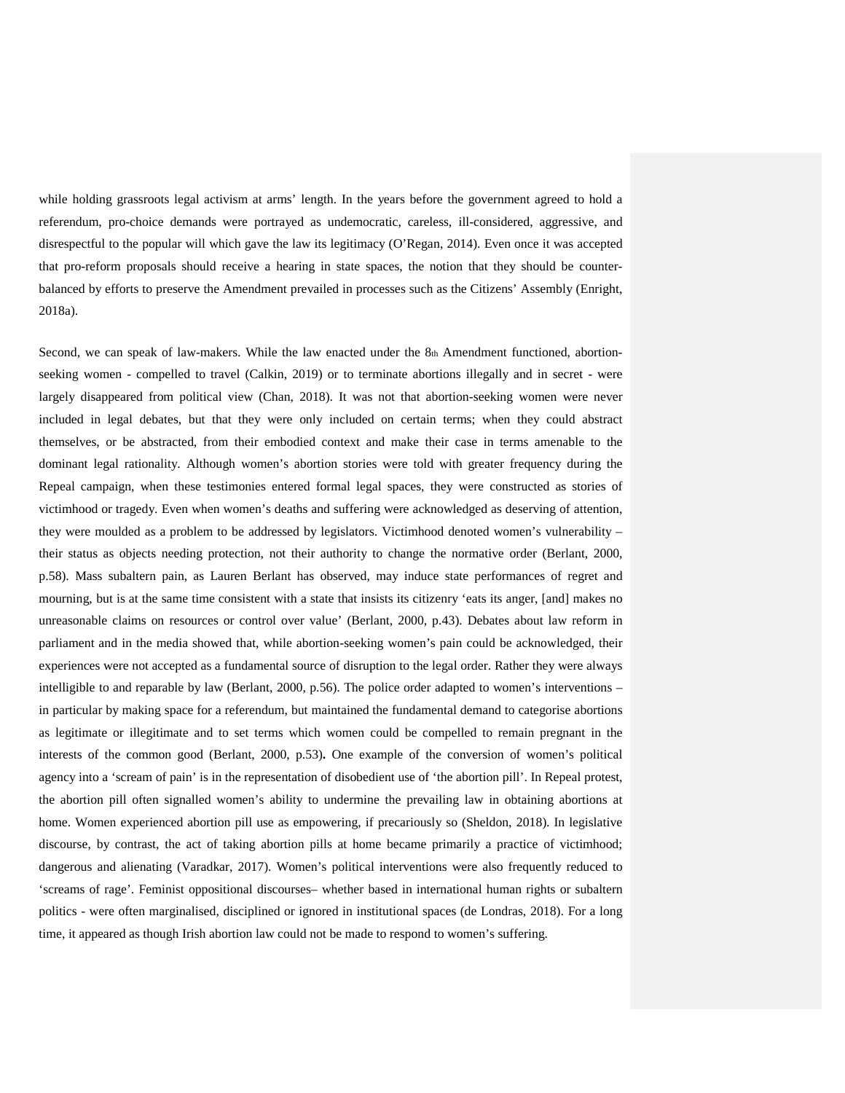while holding grassroots legal activism at arms' length. In the years before the government agreed to hold a referendum, pro-choice demands were portrayed as undemocratic, careless, ill-considered, aggressive, and disrespectful to the popular will which gave the law its legitimacy (O'Regan, 2014). Even once it was accepted that pro-reform proposals should receive a hearing in state spaces, the notion that they should be counterbalanced by efforts to preserve the Amendment prevailed in processes such as the Citizens' Assembly (Enright, 2018a).

Second, we can speak of law-makers. While the law enacted under the 8th Amendment functioned, abortionseeking women - compelled to travel (Calkin, 2019) or to terminate abortions illegally and in secret - were largely disappeared from political view (Chan, 2018). It was not that abortion-seeking women were never included in legal debates, but that they were only included on certain terms; when they could abstract themselves, or be abstracted, from their embodied context and make their case in terms amenable to the dominant legal rationality. Although women's abortion stories were told with greater frequency during the Repeal campaign, when these testimonies entered formal legal spaces, they were constructed as stories of victimhood or tragedy. Even when women's deaths and suffering were acknowledged as deserving of attention, they were moulded as a problem to be addressed by legislators. Victimhood denoted women's vulnerability – their status as objects needing protection, not their authority to change the normative order (Berlant, 2000, p.58). Mass subaltern pain, as Lauren Berlant has observed, may induce state performances of regret and mourning, but is at the same time consistent with a state that insists its citizenry 'eats its anger, [and] makes no unreasonable claims on resources or control over value' (Berlant, 2000, p.43). Debates about law reform in parliament and in the media showed that, while abortion-seeking women's pain could be acknowledged, their experiences were not accepted as a fundamental source of disruption to the legal order. Rather they were always intelligible to and reparable by law (Berlant, 2000, p.56). The police order adapted to women's interventions – in particular by making space for a referendum, but maintained the fundamental demand to categorise abortions as legitimate or illegitimate and to set terms which women could be compelled to remain pregnant in the interests of the common good (Berlant, 2000, p.53)**.** One example of the conversion of women's political agency into a 'scream of pain' is in the representation of disobedient use of 'the abortion pill'. In Repeal protest, the abortion pill often signalled women's ability to undermine the prevailing law in obtaining abortions at home. Women experienced abortion pill use as empowering, if precariously so (Sheldon, 2018). In legislative discourse, by contrast, the act of taking abortion pills at home became primarily a practice of victimhood; dangerous and alienating (Varadkar, 2017). Women's political interventions were also frequently reduced to 'screams of rage'. Feminist oppositional discourses– whether based in international human rights or subaltern politics - were often marginalised, disciplined or ignored in institutional spaces (de Londras, 2018). For a long time, it appeared as though Irish abortion law could not be made to respond to women's suffering.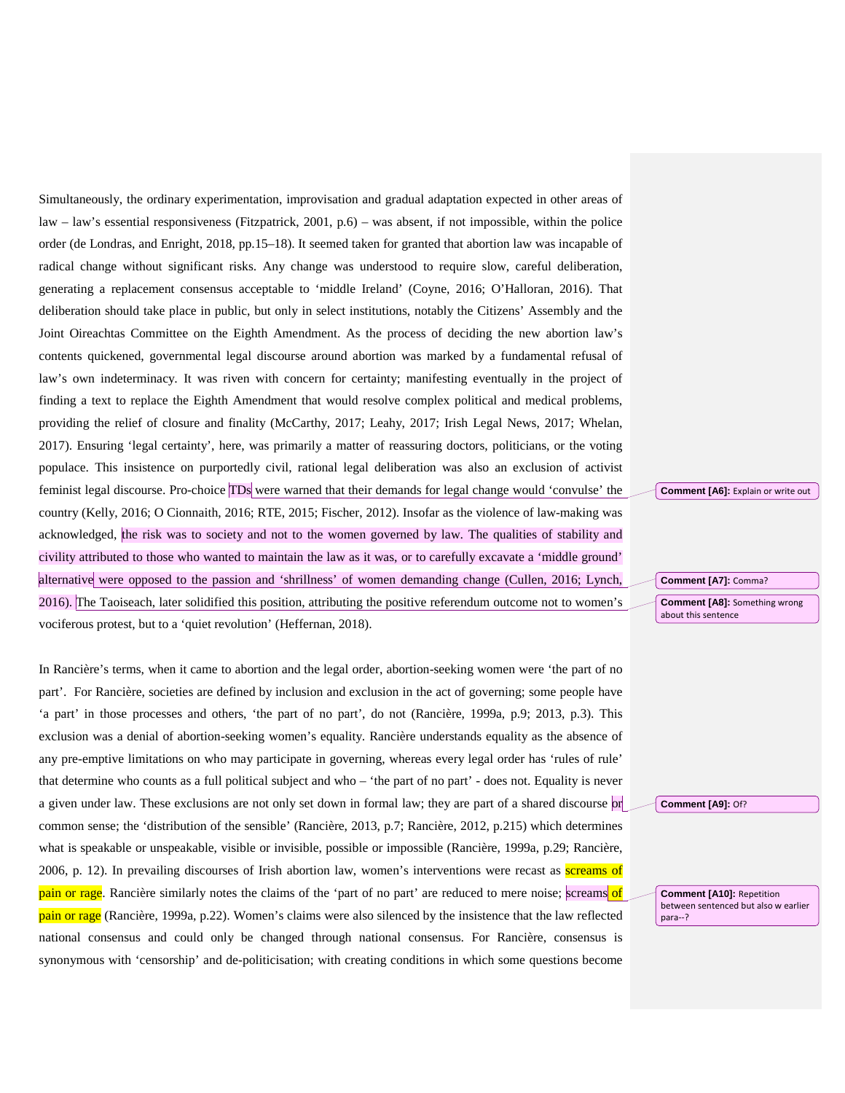Simultaneously, the ordinary experimentation, improvisation and gradual adaptation expected in other areas of law – law's essential responsiveness (Fitzpatrick, 2001, p.6) – was absent, if not impossible, within the police order (de Londras, and Enright, 2018, pp.15–18). It seemed taken for granted that abortion law was incapable of radical change without significant risks. Any change was understood to require slow, careful deliberation, generating a replacement consensus acceptable to 'middle Ireland' (Coyne, 2016; O'Halloran, 2016). That deliberation should take place in public, but only in select institutions, notably the Citizens' Assembly and the Joint Oireachtas Committee on the Eighth Amendment. As the process of deciding the new abortion law's contents quickened, governmental legal discourse around abortion was marked by a fundamental refusal of law's own indeterminacy. It was riven with concern for certainty; manifesting eventually in the project of finding a text to replace the Eighth Amendment that would resolve complex political and medical problems, providing the relief of closure and finality (McCarthy, 2017; Leahy, 2017; Irish Legal News, 2017; Whelan, 2017). Ensuring 'legal certainty', here, was primarily a matter of reassuring doctors, politicians, or the voting populace. This insistence on purportedly civil, rational legal deliberation was also an exclusion of activist feminist legal discourse. Pro-choice TDs were warned that their demands for legal change would 'convulse' the country (Kelly, 2016; O Cionnaith, 2016; RTE, 2015; Fischer, 2012). Insofar as the violence of law-making was acknowledged, the risk was to society and not to the women governed by law. The qualities of stability and civility attributed to those who wanted to maintain the law as it was, or to carefully excavate a 'middle ground' alternative were opposed to the passion and 'shrillness' of women demanding change (Cullen, 2016; Lynch, 2016). The Taoiseach, later solidified this position, attributing the positive referendum outcome not to women's vociferous protest, but to a 'quiet revolution' (Heffernan, 2018).

In Rancière's terms, when it came to abortion and the legal order, abortion-seeking women were 'the part of no part'. For Rancière, societies are defined by inclusion and exclusion in the act of governing; some people have 'a part' in those processes and others, 'the part of no part', do not (Rancière, 1999a, p.9; 2013, p.3). This exclusion was a denial of abortion-seeking women's equality. Rancière understands equality as the absence of any pre-emptive limitations on who may participate in governing, whereas every legal order has 'rules of rule' that determine who counts as a full political subject and who – 'the part of no part' - does not. Equality is never a given under law. These exclusions are not only set down in formal law; they are part of a shared discourse or common sense; the 'distribution of the sensible' (Rancière, 2013, p.7; Rancière, 2012, p.215) which determines what is speakable or unspeakable, visible or invisible, possible or impossible (Rancière, 1999a, p.29; Rancière, 2006, p. 12). In prevailing discourses of Irish abortion law, women's interventions were recast as screams of pain or rage. Rancière similarly notes the claims of the 'part of no part' are reduced to mere noise; screams of pain or rage (Rancière, 1999a, p.22). Women's claims were also silenced by the insistence that the law reflected national consensus and could only be changed through national consensus. For Rancière, consensus is synonymous with 'censorship' and de-politicisation; with creating conditions in which some questions become

**Comment [A6]:** Explain or write out

**Comment [A7]:** Comma?

**Comment [A8]:** Something wrong about this sentence

**Comment [A9]:** Of?

**Comment [A10]:** Repetition between sentenced but also w earlier para--?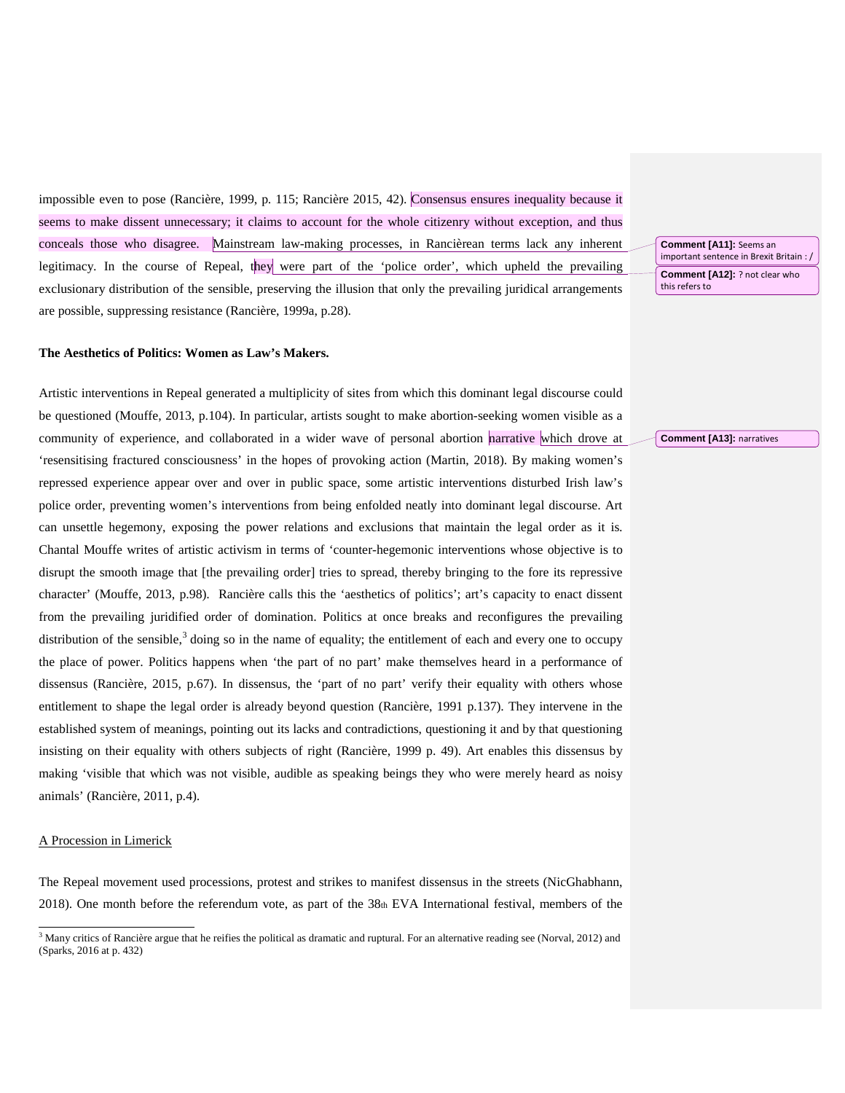impossible even to pose (Rancière, 1999, p. 115; Rancière 2015, 42). Consensus ensures inequality because it seems to make dissent unnecessary; it claims to account for the whole citizenry without exception, and thus conceals those who disagree. Mainstream law-making processes, in Rancièrean terms lack any inherent legitimacy. In the course of Repeal, they were part of the 'police order', which upheld the prevailing exclusionary distribution of the sensible, preserving the illusion that only the prevailing juridical arrangements are possible, suppressing resistance (Rancière, 1999a, p.28).

#### **The Aesthetics of Politics: Women as Law's Makers.**

Artistic interventions in Repeal generated a multiplicity of sites from which this dominant legal discourse could be questioned (Mouffe, 2013, p.104). In particular, artists sought to make abortion-seeking women visible as a community of experience, and collaborated in a wider wave of personal abortion narrative which drove at 'resensitising fractured consciousness' in the hopes of provoking action (Martin, 2018). By making women's repressed experience appear over and over in public space, some artistic interventions disturbed Irish law's police order, preventing women's interventions from being enfolded neatly into dominant legal discourse. Art can unsettle hegemony, exposing the power relations and exclusions that maintain the legal order as it is. Chantal Mouffe writes of artistic activism in terms of 'counter-hegemonic interventions whose objective is to disrupt the smooth image that [the prevailing order] tries to spread, thereby bringing to the fore its repressive character' (Mouffe, 2013, p.98). Rancière calls this the 'aesthetics of politics'; art's capacity to enact dissent from the prevailing juridified order of domination. Politics at once breaks and reconfigures the prevailing distribution of the sensible, $3$  doing so in the name of equality; the entitlement of each and every one to occupy the place of power. Politics happens when 'the part of no part' make themselves heard in a performance of dissensus (Rancière, 2015, p.67). In dissensus, the 'part of no part' verify their equality with others whose entitlement to shape the legal order is already beyond question (Rancière, 1991 p.137). They intervene in the established system of meanings, pointing out its lacks and contradictions, questioning it and by that questioning insisting on their equality with others subjects of right (Rancière, 1999 p. 49). Art enables this dissensus by making 'visible that which was not visible, audible as speaking beings they who were merely heard as noisy animals' (Rancière, 2011, p.4).

#### A Procession in Limerick

The Repeal movement used processions, protest and strikes to manifest dissensus in the streets (NicGhabhann, 2018). One month before the referendum vote, as part of the 38th EVA International festival, members of the

**Comment [A11]:** Seems an important sentence in Brexit Britain : / **Comment [A12]:** ? not clear who this refers to

#### **Comment [A13]:** narratives

<span id="page-5-0"></span><sup>&</sup>lt;sup>3</sup> Many critics of Rancière argue that he reifies the political as dramatic and ruptural. For an alternative reading see (Norval, 2012) and (Sparks, 2016 at p. 432)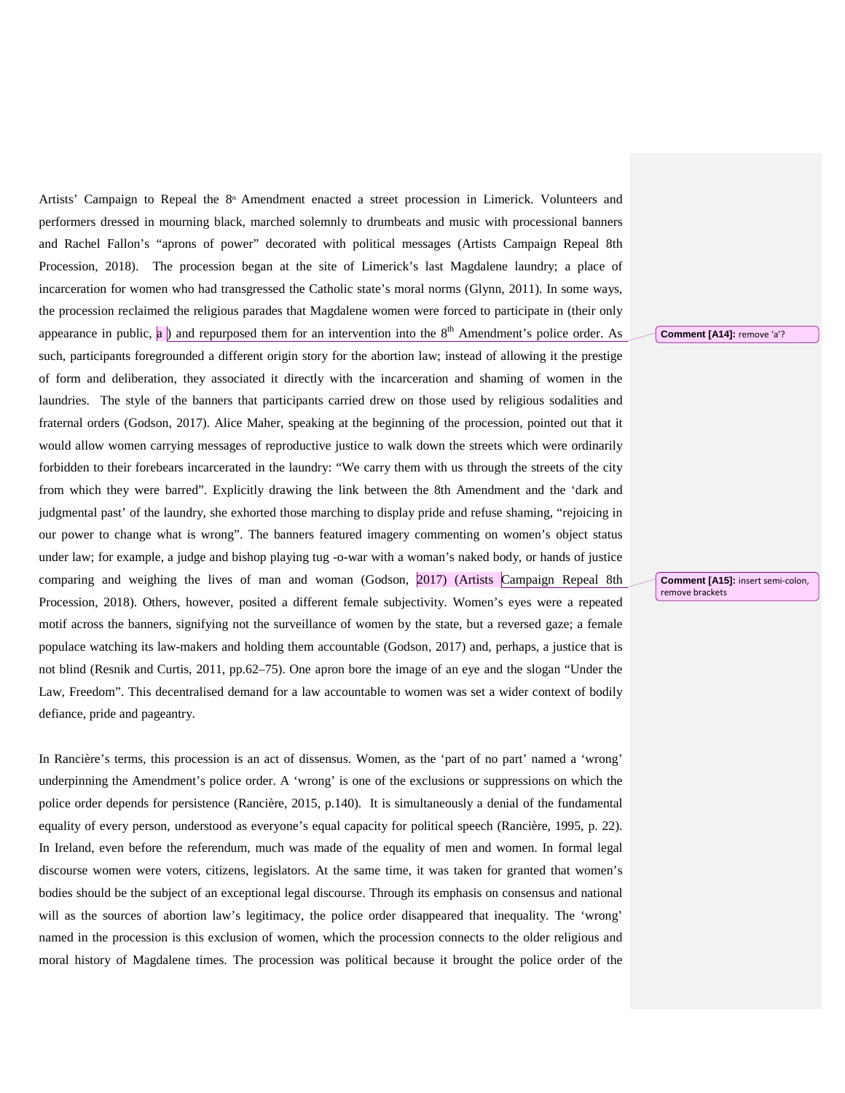Artists' Campaign to Repeal the 8<sup>th</sup> Amendment enacted a street procession in Limerick. Volunteers and performers dressed in mourning black, marched solemnly to drumbeats and music with processional banners and Rachel Fallon's "aprons of power" decorated with political messages (Artists Campaign Repeal 8th Procession, 2018). The procession began at the site of Limerick's last Magdalene laundry; a place of incarceration for women who had transgressed the Catholic state's moral norms (Glynn, 2011). In some ways, the procession reclaimed the religious parades that Magdalene women were forced to participate in (their only appearance in public, a ) and repurposed them for an intervention into the  $8<sup>th</sup>$  Amendment's police order. As such, participants foregrounded a different origin story for the abortion law; instead of allowing it the prestige of form and deliberation, they associated it directly with the incarceration and shaming of women in the laundries. The style of the banners that participants carried drew on those used by religious sodalities and fraternal orders (Godson, 2017). Alice Maher, speaking at the beginning of the procession, pointed out that it would allow women carrying messages of reproductive justice to walk down the streets which were ordinarily forbidden to their forebears incarcerated in the laundry: "We carry them with us through the streets of the city from which they were barred". Explicitly drawing the link between the 8th Amendment and the 'dark and judgmental past' of the laundry, she exhorted those marching to display pride and refuse shaming, "rejoicing in our power to change what is wrong". The banners featured imagery commenting on women's object status under law; for example, a judge and bishop playing tug -o-war with a woman's naked body, or hands of justice comparing and weighing the lives of man and woman (Godson, 2017) (Artists Campaign Repeal 8th Procession, 2018). Others, however, posited a different female subjectivity. Women's eyes were a repeated motif across the banners, signifying not the surveillance of women by the state, but a reversed gaze; a female populace watching its law-makers and holding them accountable (Godson, 2017) and, perhaps, a justice that is not blind (Resnik and Curtis, 2011, pp.62–75). One apron bore the image of an eye and the slogan "Under the Law, Freedom". This decentralised demand for a law accountable to women was set a wider context of bodily defiance, pride and pageantry.

In Rancière's terms, this procession is an act of dissensus. Women, as the 'part of no part' named a 'wrong' underpinning the Amendment's police order. A 'wrong' is one of the exclusions or suppressions on which the police order depends for persistence (Rancière, 2015, p.140). It is simultaneously a denial of the fundamental equality of every person, understood as everyone's equal capacity for political speech (Rancière, 1995, p. 22). In Ireland, even before the referendum, much was made of the equality of men and women. In formal legal discourse women were voters, citizens, legislators. At the same time, it was taken for granted that women's bodies should be the subject of an exceptional legal discourse. Through its emphasis on consensus and national will as the sources of abortion law's legitimacy, the police order disappeared that inequality. The 'wrong' named in the procession is this exclusion of women, which the procession connects to the older religious and moral history of Magdalene times. The procession was political because it brought the police order of the

**Comment [A14]:** remove 'a'?

**Comment [A15]:** insert semi-colon, remove brackets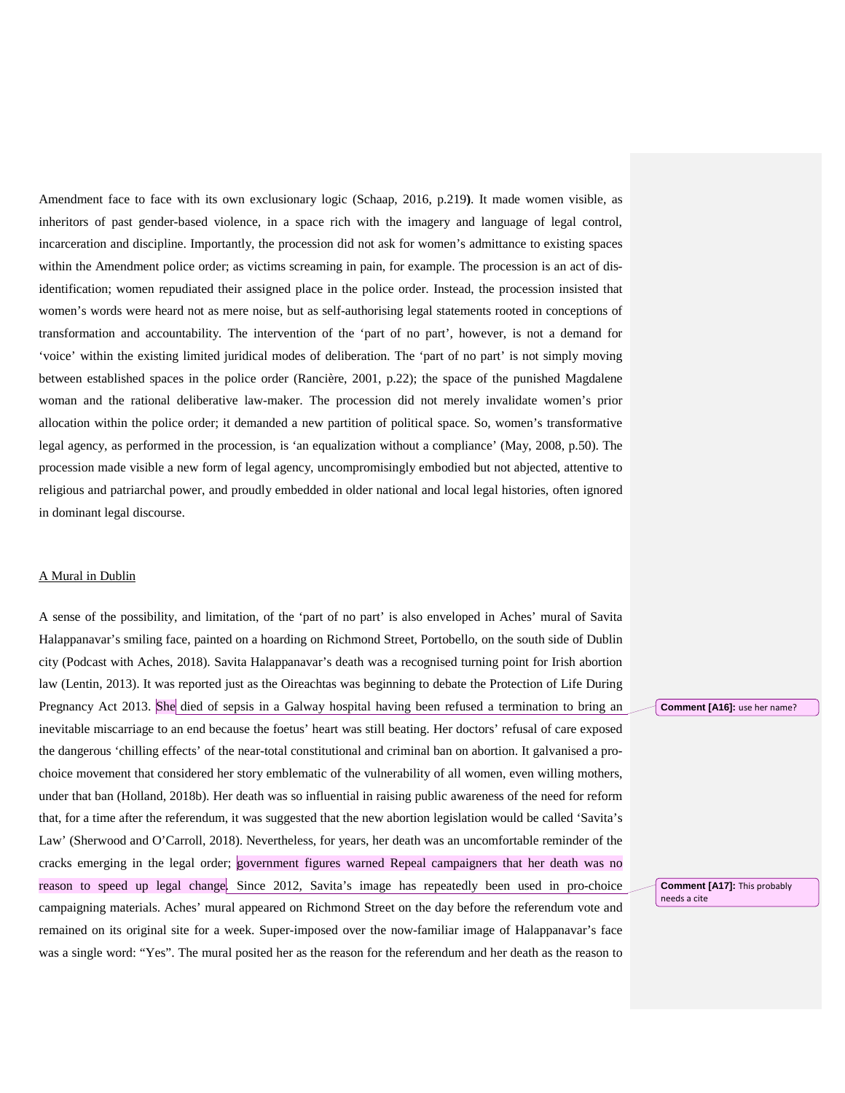Amendment face to face with its own exclusionary logic (Schaap, 2016, p.219**)**. It made women visible, as inheritors of past gender-based violence, in a space rich with the imagery and language of legal control, incarceration and discipline. Importantly, the procession did not ask for women's admittance to existing spaces within the Amendment police order; as victims screaming in pain, for example. The procession is an act of disidentification; women repudiated their assigned place in the police order. Instead, the procession insisted that women's words were heard not as mere noise, but as self-authorising legal statements rooted in conceptions of transformation and accountability. The intervention of the 'part of no part', however, is not a demand for 'voice' within the existing limited juridical modes of deliberation. The 'part of no part' is not simply moving between established spaces in the police order (Rancière, 2001, p.22); the space of the punished Magdalene woman and the rational deliberative law-maker. The procession did not merely invalidate women's prior allocation within the police order; it demanded a new partition of political space. So, women's transformative legal agency, as performed in the procession, is 'an equalization without a compliance' (May, 2008, p.50). The procession made visible a new form of legal agency, uncompromisingly embodied but not abjected, attentive to religious and patriarchal power, and proudly embedded in older national and local legal histories, often ignored in dominant legal discourse.

#### A Mural in Dublin

A sense of the possibility, and limitation, of the 'part of no part' is also enveloped in Aches' mural of Savita Halappanavar's smiling face, painted on a hoarding on Richmond Street, Portobello, on the south side of Dublin city (Podcast with Aches, 2018). Savita Halappanavar's death was a recognised turning point for Irish abortion law (Lentin, 2013). It was reported just as the Oireachtas was beginning to debate the Protection of Life During Pregnancy Act 2013. She died of sepsis in a Galway hospital having been refused a termination to bring an inevitable miscarriage to an end because the foetus' heart was still beating. Her doctors' refusal of care exposed the dangerous 'chilling effects' of the near-total constitutional and criminal ban on abortion. It galvanised a prochoice movement that considered her story emblematic of the vulnerability of all women, even willing mothers, under that ban (Holland, 2018b). Her death was so influential in raising public awareness of the need for reform that, for a time after the referendum, it was suggested that the new abortion legislation would be called 'Savita's Law' (Sherwood and O'Carroll, 2018). Nevertheless, for years, her death was an uncomfortable reminder of the cracks emerging in the legal order; government figures warned Repeal campaigners that her death was no reason to speed up legal change. Since 2012, Savita's image has repeatedly been used in pro-choice campaigning materials. Aches' mural appeared on Richmond Street on the day before the referendum vote and remained on its original site for a week. Super-imposed over the now-familiar image of Halappanavar's face was a single word: "Yes". The mural posited her as the reason for the referendum and her death as the reason to

**Comment [A16]:** use her name?

**Comment [A17]:** This probably needs a cite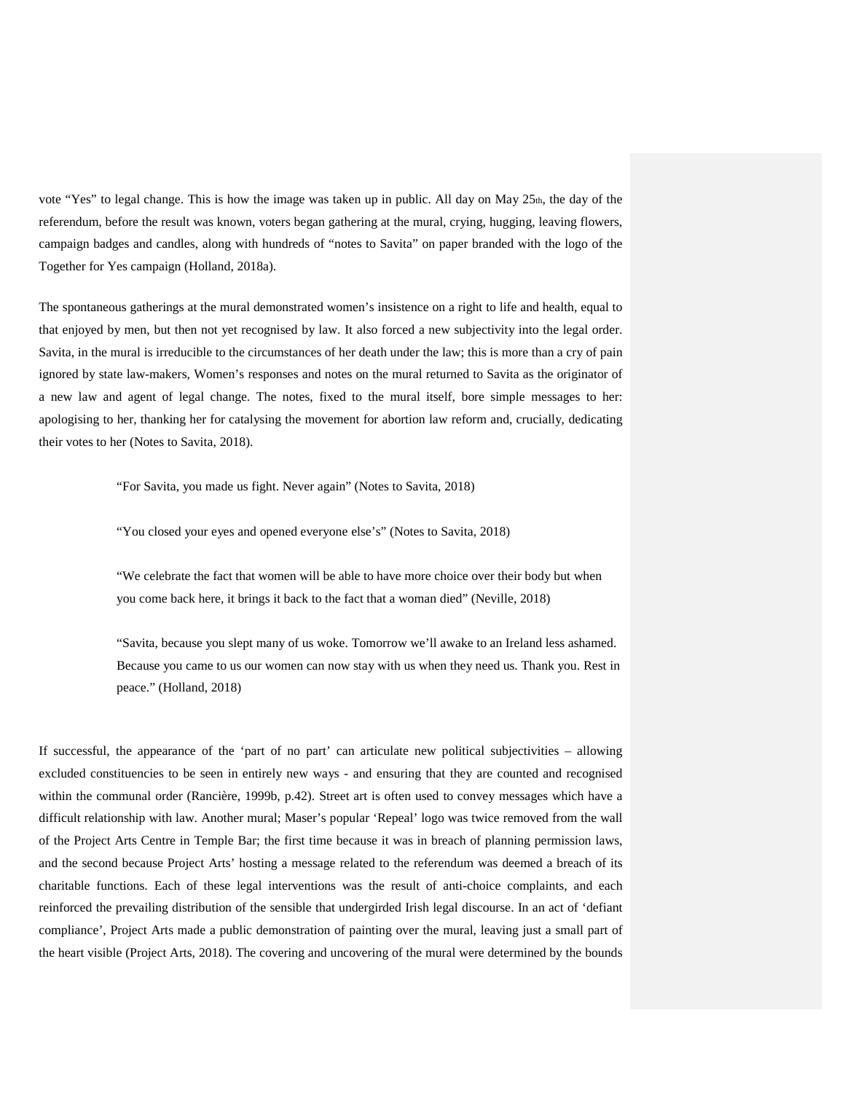vote "Yes" to legal change. This is how the image was taken up in public. All day on May 25th, the day of the referendum, before the result was known, voters began gathering at the mural, crying, hugging, leaving flowers, campaign badges and candles, along with hundreds of "notes to Savita" on paper branded with the logo of the Together for Yes campaign (Holland, 2018a).

The spontaneous gatherings at the mural demonstrated women's insistence on a right to life and health, equal to that enjoyed by men, but then not yet recognised by law. It also forced a new subjectivity into the legal order. Savita, in the mural is irreducible to the circumstances of her death under the law; this is more than a cry of pain ignored by state law-makers, Women's responses and notes on the mural returned to Savita as the originator of a new law and agent of legal change. The notes, fixed to the mural itself, bore simple messages to her: apologising to her, thanking her for catalysing the movement for abortion law reform and, crucially, dedicating their votes to her (Notes to Savita, 2018).

"For Savita, you made us fight. Never again" (Notes to Savita, 2018)

"You closed your eyes and opened everyone else's" (Notes to Savita, 2018)

"We celebrate the fact that women will be able to have more choice over their body but when you come back here, it brings it back to the fact that a woman died" (Neville, 2018)

"Savita, because you slept many of us woke. Tomorrow we'll awake to an Ireland less ashamed. Because you came to us our women can now stay with us when they need us. Thank you. Rest in peace." (Holland, 2018)

If successful, the appearance of the 'part of no part' can articulate new political subjectivities – allowing excluded constituencies to be seen in entirely new ways - and ensuring that they are counted and recognised within the communal order (Rancière, 1999b, p.42). Street art is often used to convey messages which have a difficult relationship with law. Another mural; Maser's popular 'Repeal' logo was twice removed from the wall of the Project Arts Centre in Temple Bar; the first time because it was in breach of planning permission laws, and the second because Project Arts' hosting a message related to the referendum was deemed a breach of its charitable functions. Each of these legal interventions was the result of anti-choice complaints, and each reinforced the prevailing distribution of the sensible that undergirded Irish legal discourse. In an act of 'defiant compliance', Project Arts made a public demonstration of painting over the mural, leaving just a small part of the heart visible (Project Arts, 2018). The covering and uncovering of the mural were determined by the bounds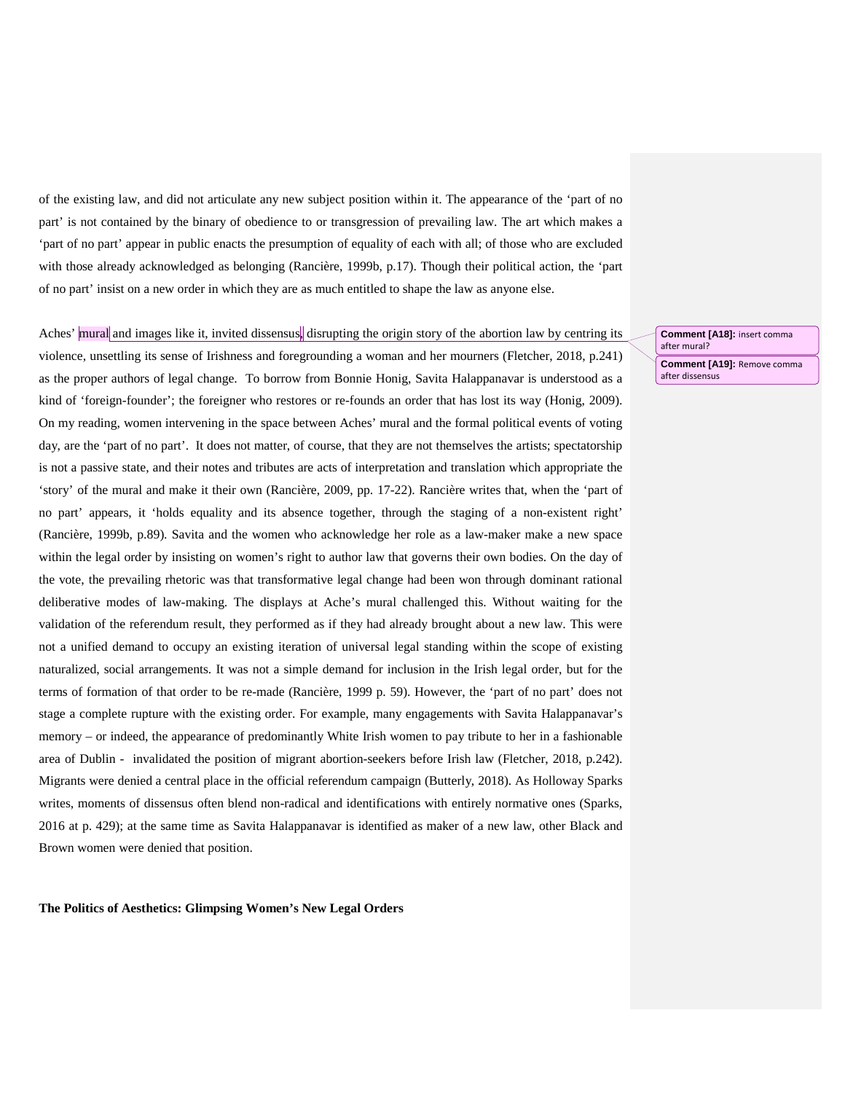of the existing law, and did not articulate any new subject position within it. The appearance of the 'part of no part' is not contained by the binary of obedience to or transgression of prevailing law. The art which makes a 'part of no part' appear in public enacts the presumption of equality of each with all; of those who are excluded with those already acknowledged as belonging (Rancière, 1999b, p.17). Though their political action, the 'part of no part' insist on a new order in which they are as much entitled to shape the law as anyone else.

#### Aches' mural and images like it, invited dissensus, disrupting the origin story of the abortion law by centring its

violence, unsettling its sense of Irishness and foregrounding a woman and her mourners (Fletcher, 2018, p.241) as the proper authors of legal change. To borrow from Bonnie Honig, Savita Halappanavar is understood as a kind of 'foreign-founder'; the foreigner who restores or re-founds an order that has lost its way (Honig, 2009). On my reading, women intervening in the space between Aches' mural and the formal political events of voting day, are the 'part of no part'. It does not matter, of course, that they are not themselves the artists; spectatorship is not a passive state, and their notes and tributes are acts of interpretation and translation which appropriate the 'story' of the mural and make it their own (Rancière, 2009, pp. 17-22). Rancière writes that, when the 'part of no part' appears, it 'holds equality and its absence together, through the staging of a non-existent right' (Rancière, 1999b, p.89). Savita and the women who acknowledge her role as a law-maker make a new space within the legal order by insisting on women's right to author law that governs their own bodies. On the day of the vote, the prevailing rhetoric was that transformative legal change had been won through dominant rational deliberative modes of law-making. The displays at Ache's mural challenged this. Without waiting for the validation of the referendum result, they performed as if they had already brought about a new law. This were not a unified demand to occupy an existing iteration of universal legal standing within the scope of existing naturalized, social arrangements. It was not a simple demand for inclusion in the Irish legal order, but for the terms of formation of that order to be re-made (Rancière, 1999 p. 59). However, the 'part of no part' does not stage a complete rupture with the existing order. For example, many engagements with Savita Halappanavar's memory – or indeed, the appearance of predominantly White Irish women to pay tribute to her in a fashionable area of Dublin - invalidated the position of migrant abortion-seekers before Irish law (Fletcher, 2018, p.242). Migrants were denied a central place in the official referendum campaign (Butterly, 2018). As Holloway Sparks writes, moments of dissensus often blend non-radical and identifications with entirely normative ones (Sparks, 2016 at p. 429); at the same time as Savita Halappanavar is identified as maker of a new law, other Black and Brown women were denied that position.

**The Politics of Aesthetics: Glimpsing Women's New Legal Orders**

**Comment [A18]:** insert comma after mural? **Comment [A19]:** Remove comma after dissensus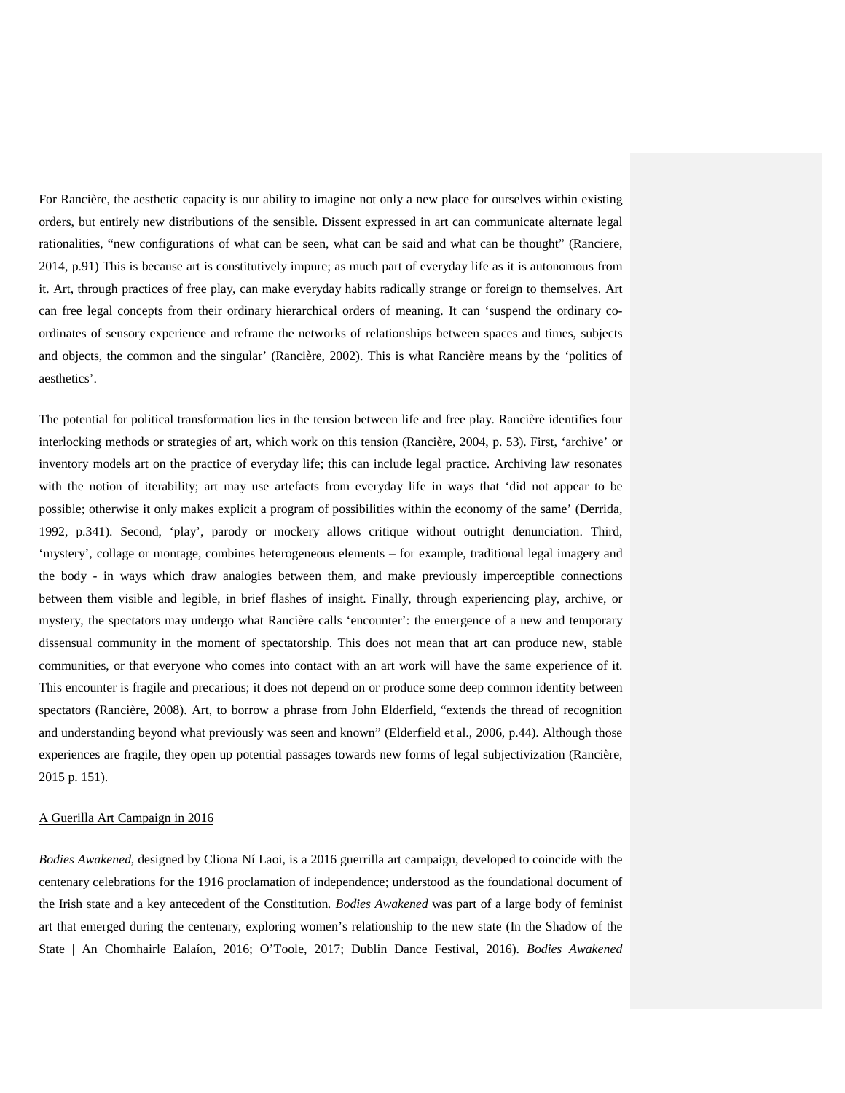For Rancière, the aesthetic capacity is our ability to imagine not only a new place for ourselves within existing orders, but entirely new distributions of the sensible. Dissent expressed in art can communicate alternate legal rationalities, "new configurations of what can be seen, what can be said and what can be thought" (Ranciere, 2014, p.91) This is because art is constitutively impure; as much part of everyday life as it is autonomous from it. Art, through practices of free play, can make everyday habits radically strange or foreign to themselves. Art can free legal concepts from their ordinary hierarchical orders of meaning. It can 'suspend the ordinary coordinates of sensory experience and reframe the networks of relationships between spaces and times, subjects and objects, the common and the singular' (Rancière, 2002). This is what Rancière means by the 'politics of aesthetics'.

The potential for political transformation lies in the tension between life and free play. Rancière identifies four interlocking methods or strategies of art, which work on this tension (Rancière, 2004, p. 53). First, 'archive' or inventory models art on the practice of everyday life; this can include legal practice. Archiving law resonates with the notion of iterability; art may use artefacts from everyday life in ways that 'did not appear to be possible; otherwise it only makes explicit a program of possibilities within the economy of the same' (Derrida, 1992, p.341). Second, 'play', parody or mockery allows critique without outright denunciation. Third, 'mystery', collage or montage, combines heterogeneous elements – for example, traditional legal imagery and the body - in ways which draw analogies between them, and make previously imperceptible connections between them visible and legible, in brief flashes of insight. Finally, through experiencing play, archive, or mystery, the spectators may undergo what Rancière calls 'encounter': the emergence of a new and temporary dissensual community in the moment of spectatorship. This does not mean that art can produce new, stable communities, or that everyone who comes into contact with an art work will have the same experience of it. This encounter is fragile and precarious; it does not depend on or produce some deep common identity between spectators (Rancière, 2008). Art, to borrow a phrase from John Elderfield, "extends the thread of recognition and understanding beyond what previously was seen and known" (Elderfield et al., 2006, p.44). Although those experiences are fragile, they open up potential passages towards new forms of legal subjectivization (Rancière, 2015 p. 151).

#### A Guerilla Art Campaign in 2016

*Bodies Awakened*, designed by Cliona Ní Laoi, is a 2016 guerrilla art campaign, developed to coincide with the centenary celebrations for the 1916 proclamation of independence; understood as the foundational document of the Irish state and a key antecedent of the Constitution*. Bodies Awakened* was part of a large body of feminist art that emerged during the centenary, exploring women's relationship to the new state (In the Shadow of the State | An Chomhairle Ealaíon, 2016; O'Toole, 2017; Dublin Dance Festival, 2016). *Bodies Awakened*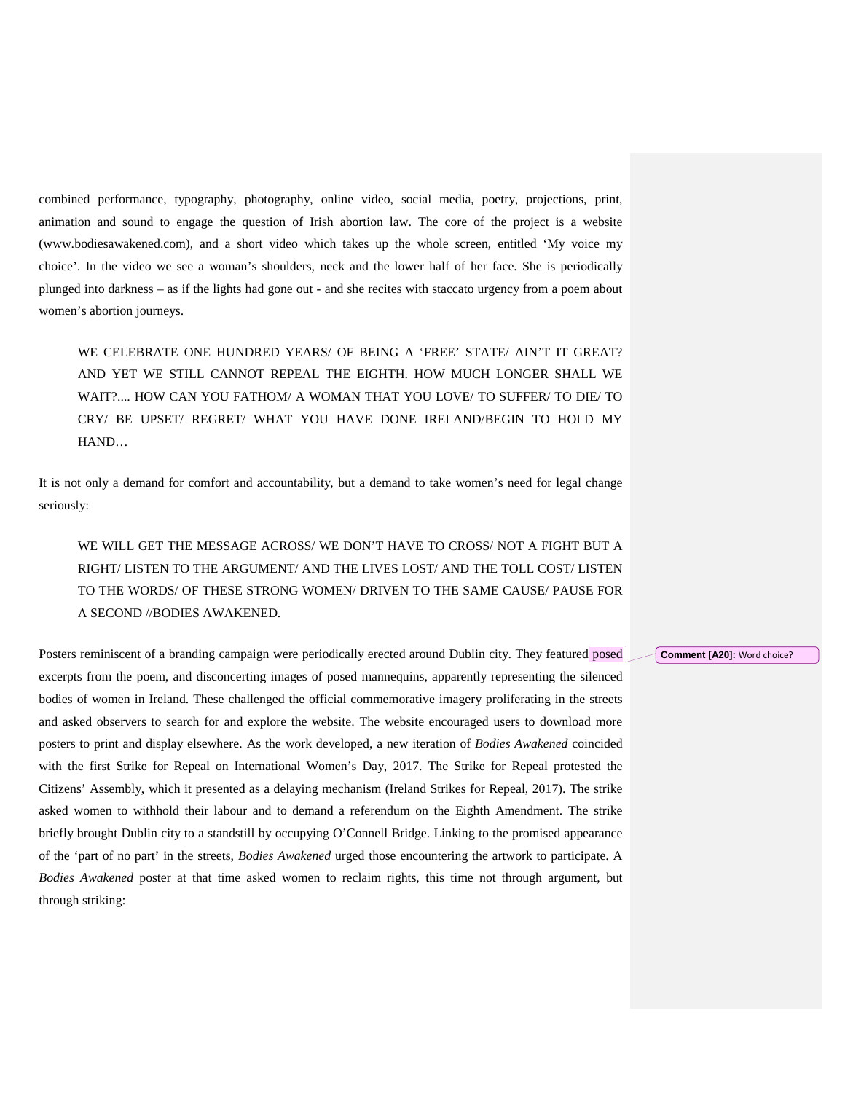combined performance, typography, photography, online video, social media, poetry, projections, print, animation and sound to engage the question of Irish abortion law. The core of the project is a website (www.bodiesawakened.com), and a short video which takes up the whole screen, entitled 'My voice my choice'. In the video we see a woman's shoulders, neck and the lower half of her face. She is periodically plunged into darkness – as if the lights had gone out - and she recites with staccato urgency from a poem about women's abortion journeys.

WE CELEBRATE ONE HUNDRED YEARS/ OF BEING A 'FREE' STATE/ AIN'T IT GREAT? AND YET WE STILL CANNOT REPEAL THE EIGHTH. HOW MUCH LONGER SHALL WE WAIT?.... HOW CAN YOU FATHOM/ A WOMAN THAT YOU LOVE/ TO SUFFER/ TO DIE/ TO CRY/ BE UPSET/ REGRET/ WHAT YOU HAVE DONE IRELAND/BEGIN TO HOLD MY HAND…

It is not only a demand for comfort and accountability, but a demand to take women's need for legal change seriously:

WE WILL GET THE MESSAGE ACROSS/ WE DON'T HAVE TO CROSS/ NOT A FIGHT BUT A RIGHT/ LISTEN TO THE ARGUMENT/ AND THE LIVES LOST/ AND THE TOLL COST/ LISTEN TO THE WORDS/ OF THESE STRONG WOMEN/ DRIVEN TO THE SAME CAUSE/ PAUSE FOR A SECOND //BODIES AWAKENED.

Posters reminiscent of a branding campaign were periodically erected around Dublin city. They featured posed excerpts from the poem, and disconcerting images of posed mannequins, apparently representing the silenced bodies of women in Ireland. These challenged the official commemorative imagery proliferating in the streets and asked observers to search for and explore the website. The website encouraged users to download more posters to print and display elsewhere. As the work developed, a new iteration of *Bodies Awakened* coincided with the first Strike for Repeal on International Women's Day, 2017. The Strike for Repeal protested the Citizens' Assembly, which it presented as a delaying mechanism (Ireland Strikes for Repeal, 2017). The strike asked women to withhold their labour and to demand a referendum on the Eighth Amendment. The strike briefly brought Dublin city to a standstill by occupying O'Connell Bridge. Linking to the promised appearance of the 'part of no part' in the streets, *Bodies Awakened* urged those encountering the artwork to participate. A *Bodies Awakened* poster at that time asked women to reclaim rights, this time not through argument, but through striking:

**Comment [A20]:** Word choice?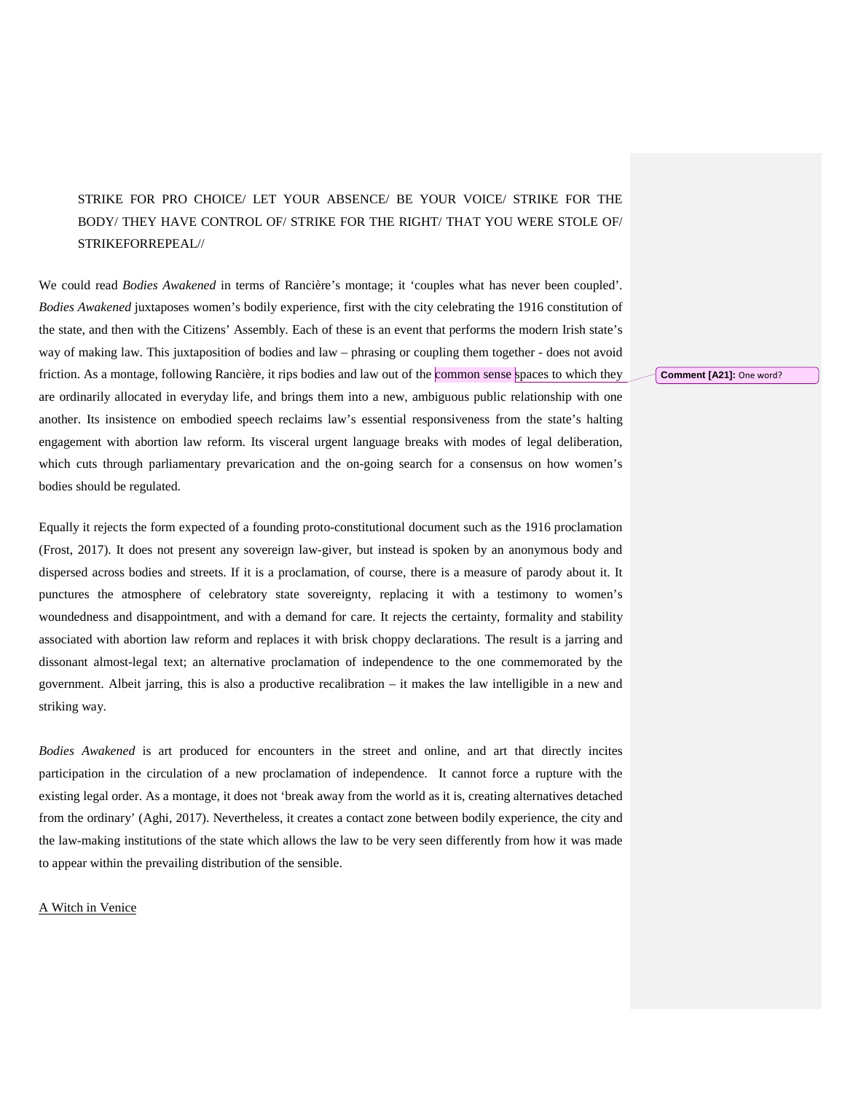### STRIKE FOR PRO CHOICE/ LET YOUR ABSENCE/ BE YOUR VOICE/ STRIKE FOR THE BODY/ THEY HAVE CONTROL OF/ STRIKE FOR THE RIGHT/ THAT YOU WERE STOLE OF/ STRIKEFORREPEAL//

We could read *Bodies Awakened* in terms of Rancière's montage; it 'couples what has never been coupled'. *Bodies Awakened* juxtaposes women's bodily experience, first with the city celebrating the 1916 constitution of the state, and then with the Citizens' Assembly. Each of these is an event that performs the modern Irish state's way of making law. This juxtaposition of bodies and law – phrasing or coupling them together - does not avoid friction. As a montage, following Rancière, it rips bodies and law out of the common sense spaces to which they are ordinarily allocated in everyday life, and brings them into a new, ambiguous public relationship with one another. Its insistence on embodied speech reclaims law's essential responsiveness from the state's halting engagement with abortion law reform. Its visceral urgent language breaks with modes of legal deliberation, which cuts through parliamentary prevarication and the on-going search for a consensus on how women's bodies should be regulated.

Equally it rejects the form expected of a founding proto-constitutional document such as the 1916 proclamation (Frost, 2017). It does not present any sovereign law-giver, but instead is spoken by an anonymous body and dispersed across bodies and streets. If it is a proclamation, of course, there is a measure of parody about it. It punctures the atmosphere of celebratory state sovereignty, replacing it with a testimony to women's woundedness and disappointment, and with a demand for care. It rejects the certainty, formality and stability associated with abortion law reform and replaces it with brisk choppy declarations. The result is a jarring and dissonant almost-legal text; an alternative proclamation of independence to the one commemorated by the government. Albeit jarring, this is also a productive recalibration – it makes the law intelligible in a new and striking way.

*Bodies Awakened* is art produced for encounters in the street and online, and art that directly incites participation in the circulation of a new proclamation of independence. It cannot force a rupture with the existing legal order. As a montage, it does not 'break away from the world as it is, creating alternatives detached from the ordinary' (Aghi, 2017). Nevertheless, it creates a contact zone between bodily experience, the city and the law-making institutions of the state which allows the law to be very seen differently from how it was made to appear within the prevailing distribution of the sensible.

#### A Witch in Venice

**Comment [A21]:** One word?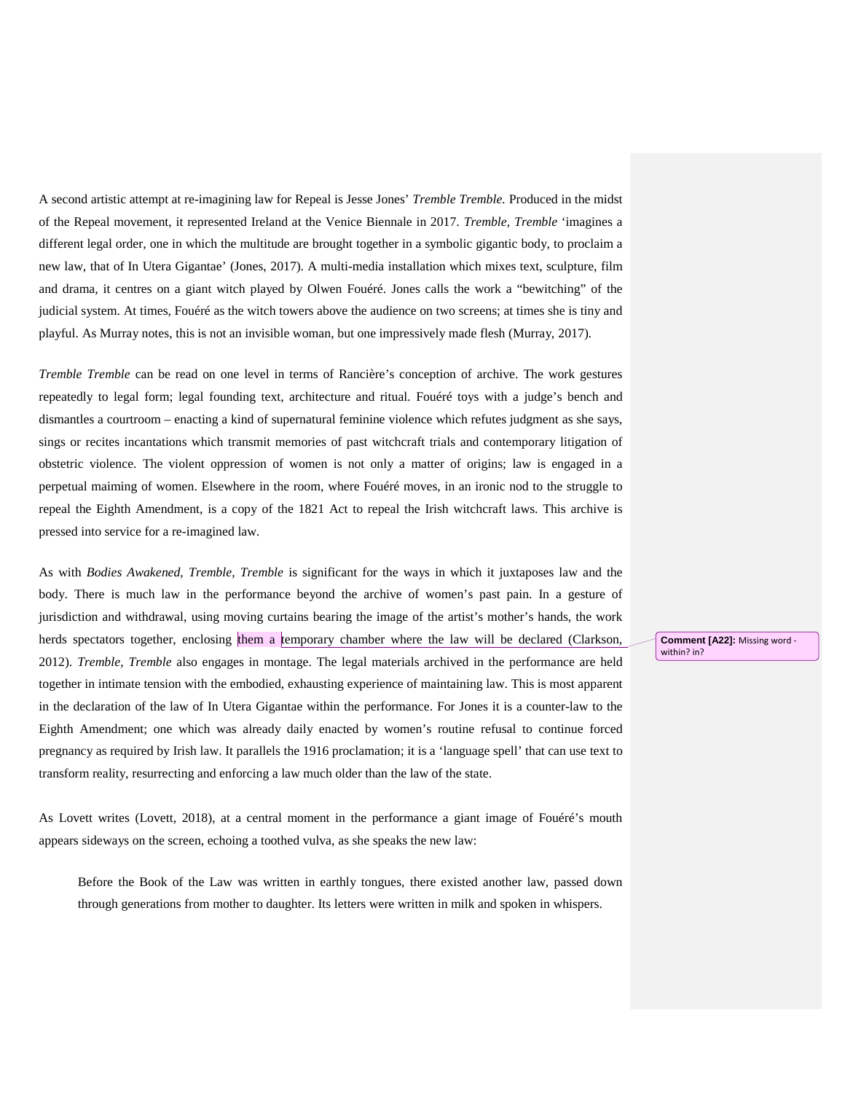A second artistic attempt at re-imagining law for Repeal is Jesse Jones' *Tremble Tremble.* Produced in the midst of the Repeal movement, it represented Ireland at the Venice Biennale in 2017. *Tremble, Tremble* 'imagines a different legal order, one in which the multitude are brought together in a symbolic gigantic body, to proclaim a new law, that of In Utera Gigantae' (Jones, 2017). A multi-media installation which mixes text, sculpture, film and drama, it centres on a giant witch played by Olwen Fouéré. Jones calls the work a "bewitching" of the judicial system. At times, Fouéré as the witch towers above the audience on two screens; at times she is tiny and playful. As Murray notes, this is not an invisible woman, but one impressively made flesh (Murray, 2017).

*Tremble Tremble* can be read on one level in terms of Rancière's conception of archive. The work gestures repeatedly to legal form; legal founding text, architecture and ritual. Fouéré toys with a judge's bench and dismantles a courtroom – enacting a kind of supernatural feminine violence which refutes judgment as she says, sings or recites incantations which transmit memories of past witchcraft trials and contemporary litigation of obstetric violence. The violent oppression of women is not only a matter of origins; law is engaged in a perpetual maiming of women. Elsewhere in the room, where Fouéré moves, in an ironic nod to the struggle to repeal the Eighth Amendment, is a copy of the 1821 Act to repeal the Irish witchcraft laws. This archive is pressed into service for a re-imagined law.

As with *Bodies Awakened, Tremble, Tremble* is significant for the ways in which it juxtaposes law and the body. There is much law in the performance beyond the archive of women's past pain. In a gesture of jurisdiction and withdrawal, using moving curtains bearing the image of the artist's mother's hands, the work herds spectators together, enclosing them a temporary chamber where the law will be declared (Clarkson, 2012). *Tremble, Tremble* also engages in montage. The legal materials archived in the performance are held together in intimate tension with the embodied, exhausting experience of maintaining law. This is most apparent in the declaration of the law of In Utera Gigantae within the performance. For Jones it is a counter-law to the Eighth Amendment; one which was already daily enacted by women's routine refusal to continue forced pregnancy as required by Irish law. It parallels the 1916 proclamation; it is a 'language spell' that can use text to transform reality, resurrecting and enforcing a law much older than the law of the state.

As Lovett writes (Lovett, 2018), at a central moment in the performance a giant image of Fouéré's mouth appears sideways on the screen, echoing a toothed vulva, as she speaks the new law:

Before the Book of the Law was written in earthly tongues, there existed another law, passed down through generations from mother to daughter. Its letters were written in milk and spoken in whispers.

**Comment [A22]:** Missing word within? in?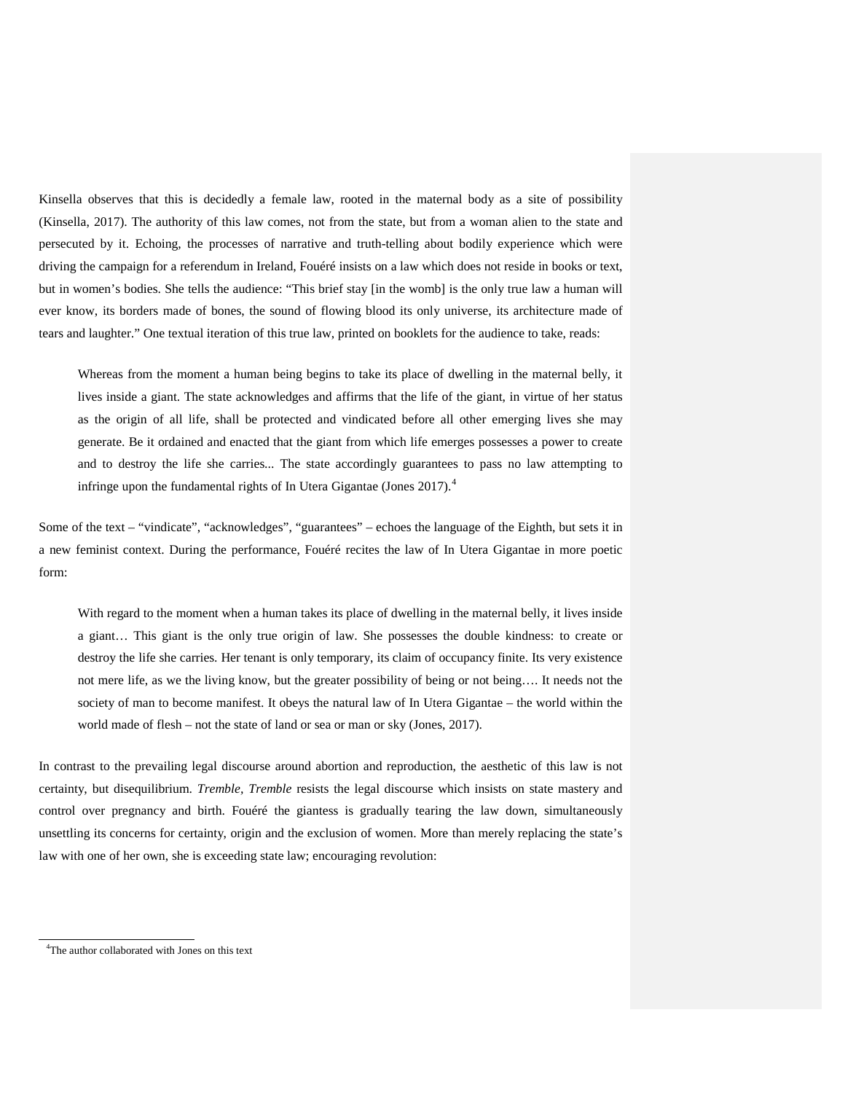Kinsella observes that this is decidedly a female law, rooted in the maternal body as a site of possibility (Kinsella, 2017). The authority of this law comes, not from the state, but from a woman alien to the state and persecuted by it. Echoing, the processes of narrative and truth-telling about bodily experience which were driving the campaign for a referendum in Ireland, Fouéré insists on a law which does not reside in books or text, but in women's bodies. She tells the audience: "This brief stay [in the womb] is the only true law a human will ever know, its borders made of bones, the sound of flowing blood its only universe, its architecture made of tears and laughter." One textual iteration of this true law, printed on booklets for the audience to take, reads:

Whereas from the moment a human being begins to take its place of dwelling in the maternal belly, it lives inside a giant. The state acknowledges and affirms that the life of the giant, in virtue of her status as the origin of all life, shall be protected and vindicated before all other emerging lives she may generate. Be it ordained and enacted that the giant from which life emerges possesses a power to create and to destroy the life she carries... The state accordingly guarantees to pass no law attempting to infringe upon the fundamental rights of In Utera Gigantae (Jones 2017).<sup>[4](#page-14-0)</sup>

Some of the text – "vindicate", "acknowledges", "guarantees" – echoes the language of the Eighth, but sets it in a new feminist context. During the performance, Fouéré recites the law of In Utera Gigantae in more poetic form:

With regard to the moment when a human takes its place of dwelling in the maternal belly, it lives inside a giant… This giant is the only true origin of law. She possesses the double kindness: to create or destroy the life she carries. Her tenant is only temporary, its claim of occupancy finite. Its very existence not mere life, as we the living know, but the greater possibility of being or not being…. It needs not the society of man to become manifest. It obeys the natural law of In Utera Gigantae – the world within the world made of flesh – not the state of land or sea or man or sky (Jones, 2017).

In contrast to the prevailing legal discourse around abortion and reproduction, the aesthetic of this law is not certainty, but disequilibrium. *Tremble, Tremble* resists the legal discourse which insists on state mastery and control over pregnancy and birth. Fouéré the giantess is gradually tearing the law down, simultaneously unsettling its concerns for certainty, origin and the exclusion of women. More than merely replacing the state's law with one of her own, she is exceeding state law; encouraging revolution:

l

<span id="page-14-0"></span><sup>&</sup>lt;sup>4</sup>The author collaborated with Jones on this text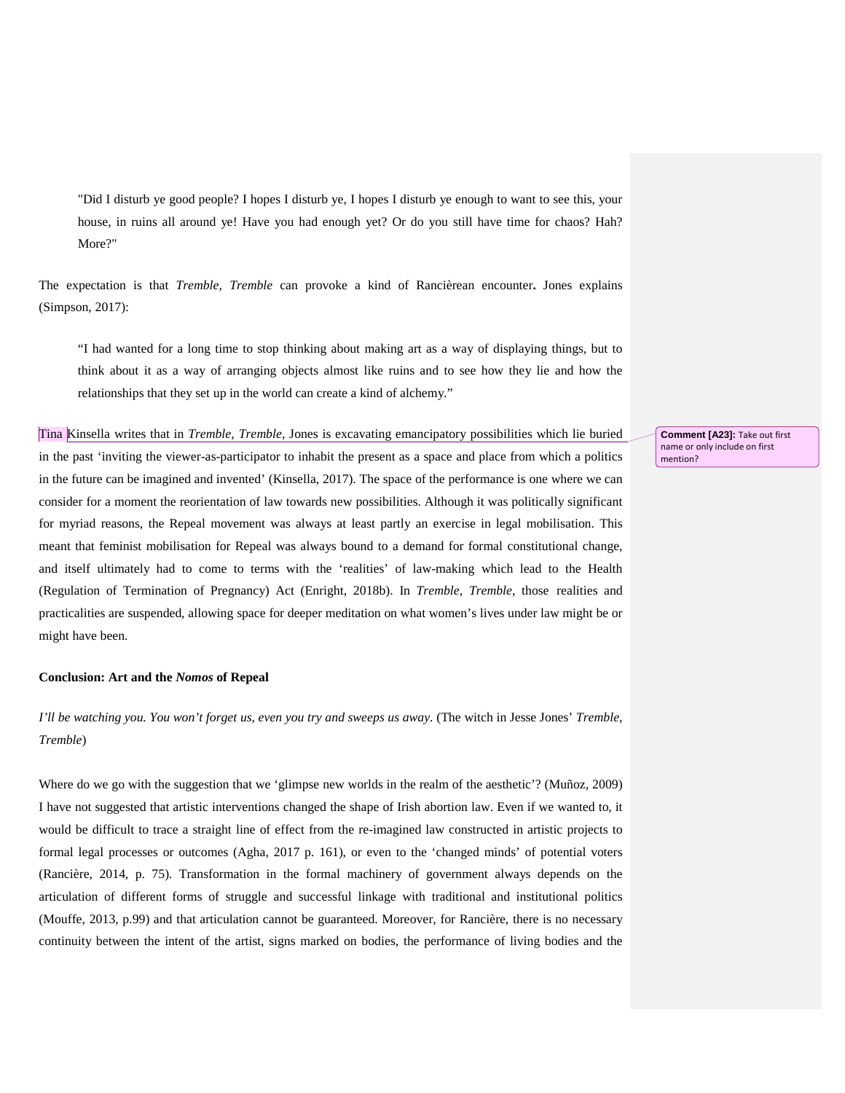"Did I disturb ye good people? I hopes I disturb ye, I hopes I disturb ye enough to want to see this, your house, in ruins all around ye! Have you had enough yet? Or do you still have time for chaos? Hah? More?"

The expectation is that *Tremble, Tremble* can provoke a kind of Rancièrean encounter**.** Jones explains (Simpson, 2017):

"I had wanted for a long time to stop thinking about making art as a way of displaying things, but to think about it as a way of arranging objects almost like ruins and to see how they lie and how the relationships that they set up in the world can create a kind of alchemy."

Tina Kinsella writes that in *Tremble, Tremble,* Jones is excavating emancipatory possibilities which lie buried in the past 'inviting the viewer-as-participator to inhabit the present as a space and place from which a politics in the future can be imagined and invented' (Kinsella, 2017). The space of the performance is one where we can consider for a moment the reorientation of law towards new possibilities. Although it was politically significant for myriad reasons, the Repeal movement was always at least partly an exercise in legal mobilisation. This meant that feminist mobilisation for Repeal was always bound to a demand for formal constitutional change, and itself ultimately had to come to terms with the 'realities' of law-making which lead to the Health (Regulation of Termination of Pregnancy) Act (Enright, 2018b). In *Tremble, Tremble*, those realities and practicalities are suspended, allowing space for deeper meditation on what women's lives under law might be or might have been.

#### **Conclusion: Art and the** *Nomos* **of Repeal**

*I'll be watching you. You won't forget us, even you try and sweeps us away.* (The witch in Jesse Jones' *Tremble, Tremble*)

Where do we go with the suggestion that we 'glimpse new worlds in the realm of the aesthetic'? (Muñoz, 2009) I have not suggested that artistic interventions changed the shape of Irish abortion law. Even if we wanted to, it would be difficult to trace a straight line of effect from the re-imagined law constructed in artistic projects to formal legal processes or outcomes (Agha, 2017 p. 161), or even to the 'changed minds' of potential voters (Rancière, 2014, p. 75). Transformation in the formal machinery of government always depends on the articulation of different forms of struggle and successful linkage with traditional and institutional politics (Mouffe, 2013, p.99) and that articulation cannot be guaranteed. Moreover, for Rancière, there is no necessary continuity between the intent of the artist, signs marked on bodies, the performance of living bodies and the

**Comment [A23]:** Take out first name or only include on first mention?